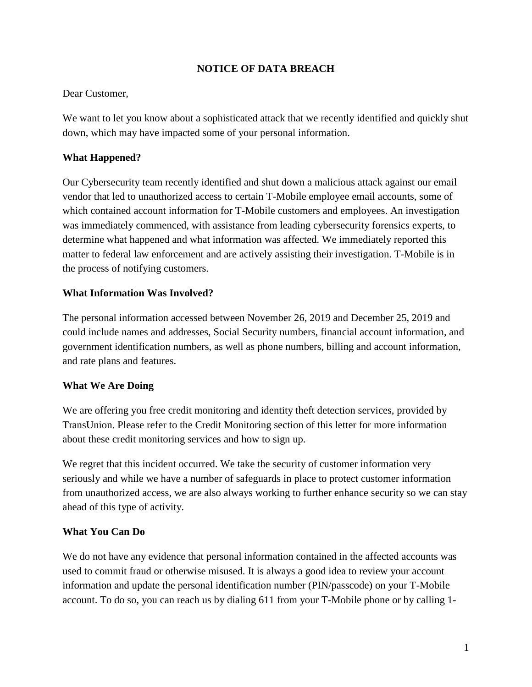### **NOTICE OF DATA BREACH**

#### Dear Customer,

We want to let you know about a sophisticated attack that we recently identified and quickly shut down, which may have impacted some of your personal information.

### **What Happened?**

Our Cybersecurity team recently identified and shut down a malicious attack against our email vendor that led to unauthorized access to certain T-Mobile employee email accounts, some of which contained account information for T-Mobile customers and employees. An investigation was immediately commenced, with assistance from leading cybersecurity forensics experts, to determine what happened and what information was affected. We immediately reported this matter to federal law enforcement and are actively assisting their investigation. T-Mobile is in the process of notifying customers.

### **What Information Was Involved?**

The personal information accessed between November 26, 2019 and December 25, 2019 and could include names and addresses, Social Security numbers, financial account information, and government identification numbers, as well as phone numbers, billing and account information, and rate plans and features.

### **What We Are Doing**

We are offering you free credit monitoring and identity theft detection services, provided by TransUnion. Please refer to the Credit Monitoring section of this letter for more information about these credit monitoring services and how to sign up.

We regret that this incident occurred. We take the security of customer information very seriously and while we have a number of safeguards in place to protect customer information from unauthorized access, we are also always working to further enhance security so we can stay ahead of this type of activity.

### **What You Can Do**

We do not have any evidence that personal information contained in the affected accounts was used to commit fraud or otherwise misused. It is always a good idea to review your account information and update the personal identification number (PIN/passcode) on your T-Mobile account. To do so, you can reach us by dialing 611 from your T-Mobile phone or by calling 1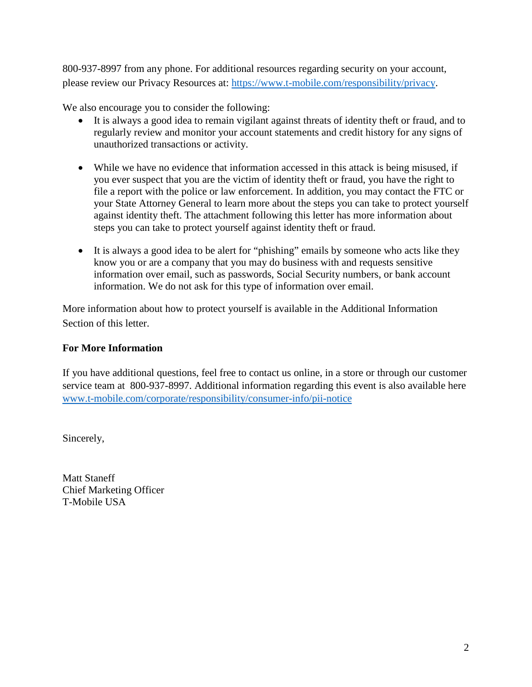800-937-8997 from any phone. For additional resources regarding security on your account, please review our Privacy Resources at: [https://www.t-mobile.com/responsibility/privacy.](https://www.t-mobile.com/responsibility/privacy)

We also encourage you to consider the following:

- It is always a good idea to remain vigilant against threats of identity theft or fraud, and to regularly review and monitor your account statements and credit history for any signs of unauthorized transactions or activity.
- While we have no evidence that information accessed in this attack is being misused, if you ever suspect that you are the victim of identity theft or fraud, you have the right to file a report with the police or law enforcement. In addition, you may contact the FTC or your State Attorney General to learn more about the steps you can take to protect yourself against identity theft. The attachment following this letter has more information about steps you can take to protect yourself against identity theft or fraud.
- It is always a good idea to be alert for "phishing" emails by someone who acts like they know you or are a company that you may do business with and requests sensitive information over email, such as passwords, Social Security numbers, or bank account information. We do not ask for this type of information over email.

More information about how to protect yourself is available in the Additional Information Section of this letter.

## **For More Information**

If you have additional questions, feel free to contact us online, in a store or through our customer service team at 800-937-8997. Additional information regarding this event is also available here [www.t-mobile.com/corporate/responsibility/consumer-info/pii-notice](https://nam02.safelinks.protection.outlook.com/?url=http%3A%2F%2Fwww.t-mobile.com%2Fcorporate%2Fresponsibility%2Fconsumer-info%2Fpii-notice&data=02%7C01%7CCeleste.Murphy43%40T-Mobile.com%7C82b41fcdb31b488019c108d7bc992a52%7Cbe0f980bdd994b19bd7bbc71a09b026c%7C0%7C0%7C637185238334392592&sdata=FUSXYWIoADqnvXibbCc%2BMAUSHEP3aTAEz%2B%2FozDVWh1s%3D&reserved=0)

Sincerely,

Matt Staneff Chief Marketing Officer T-Mobile USA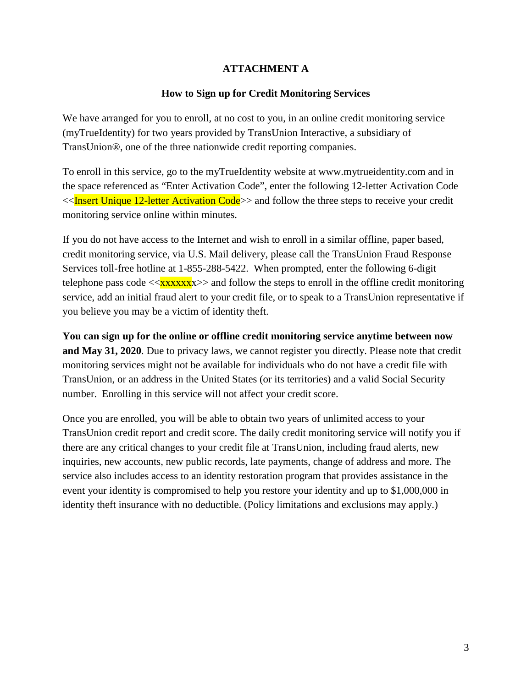### **ATTACHMENT A**

#### **How to Sign up for Credit Monitoring Services**

We have arranged for you to enroll, at no cost to you, in an online credit monitoring service (myTrueIdentity) for two years provided by TransUnion Interactive, a subsidiary of TransUnion®, one of the three nationwide credit reporting companies.

To enroll in this service, go to the myTrueIdentity website at www.mytrueidentity.com and in the space referenced as "Enter Activation Code", enter the following 12-letter Activation Code  $\ll$ Insert Unique 12-letter Activation Code>> and follow the three steps to receive your credit monitoring service online within minutes.

If you do not have access to the Internet and wish to enroll in a similar offline, paper based, credit monitoring service, via U.S. Mail delivery, please call the TransUnion Fraud Response Services toll-free hotline at 1-855-288-5422. When prompted, enter the following 6-digit telephone pass code  $\langle xxxxxxx\rangle$  and follow the steps to enroll in the offline credit monitoring service, add an initial fraud alert to your credit file, or to speak to a TransUnion representative if you believe you may be a victim of identity theft.

**You can sign up for the online or offline credit monitoring service anytime between now and May 31, 2020**. Due to privacy laws, we cannot register you directly. Please note that credit monitoring services might not be available for individuals who do not have a credit file with TransUnion, or an address in the United States (or its territories) and a valid Social Security number. Enrolling in this service will not affect your credit score.

Once you are enrolled, you will be able to obtain two years of unlimited access to your TransUnion credit report and credit score. The daily credit monitoring service will notify you if there are any critical changes to your credit file at TransUnion, including fraud alerts, new inquiries, new accounts, new public records, late payments, change of address and more. The service also includes access to an identity restoration program that provides assistance in the event your identity is compromised to help you restore your identity and up to \$1,000,000 in identity theft insurance with no deductible. (Policy limitations and exclusions may apply.)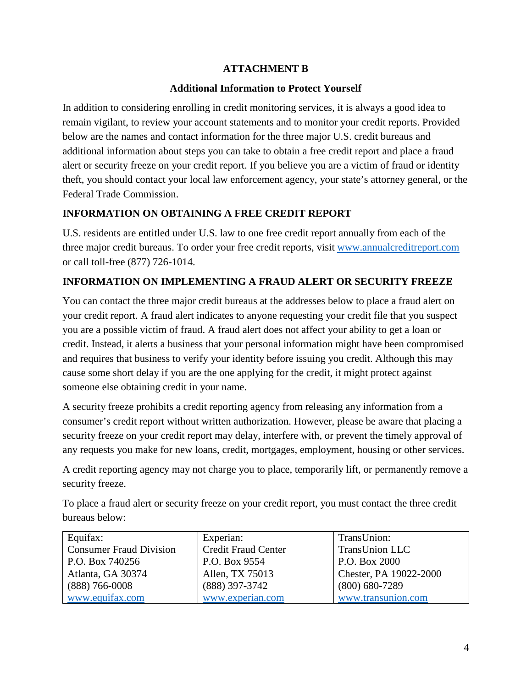## **ATTACHMENT B**

### **Additional Information to Protect Yourself**

In addition to considering enrolling in credit monitoring services, it is always a good idea to remain vigilant, to review your account statements and to monitor your credit reports. Provided below are the names and contact information for the three major U.S. credit bureaus and additional information about steps you can take to obtain a free credit report and place a fraud alert or security freeze on your credit report. If you believe you are a victim of fraud or identity theft, you should contact your local law enforcement agency, your state's attorney general, or the Federal Trade Commission.

## **INFORMATION ON OBTAINING A FREE CREDIT REPORT**

U.S. residents are entitled under U.S. law to one free credit report annually from each of the three major credit bureaus. To order your free credit reports, visit www.annualcreditreport.com or call toll-free (877) 726-1014.

# **INFORMATION ON IMPLEMENTING A FRAUD ALERT OR SECURITY FREEZE**

You can contact the three major credit bureaus at the addresses below to place a fraud alert on your credit report. A fraud alert indicates to anyone requesting your credit file that you suspect you are a possible victim of fraud. A fraud alert does not affect your ability to get a loan or credit. Instead, it alerts a business that your personal information might have been compromised and requires that business to verify your identity before issuing you credit. Although this may cause some short delay if you are the one applying for the credit, it might protect against someone else obtaining credit in your name.

A security freeze prohibits a credit reporting agency from releasing any information from a consumer's credit report without written authorization. However, please be aware that placing a security freeze on your credit report may delay, interfere with, or prevent the timely approval of any requests you make for new loans, credit, mortgages, employment, housing or other services.

A credit reporting agency may not charge you to place, temporarily lift, or permanently remove a security freeze.

To place a fraud alert or security freeze on your credit report, you must contact the three credit bureaus below:

| Equifax:                       | Experian:                  | TransUnion:            |
|--------------------------------|----------------------------|------------------------|
| <b>Consumer Fraud Division</b> | <b>Credit Fraud Center</b> | <b>TransUnion LLC</b>  |
| P.O. Box 740256                | P.O. Box 9554              | P.O. Box 2000          |
| Atlanta, GA 30374              | Allen, TX 75013            | Chester, PA 19022-2000 |
| $(888)$ 766-0008               | (888) 397-3742             | $(800)$ 680-7289       |
| www.equifax.com                | www.experian.com           | www.transunion.com     |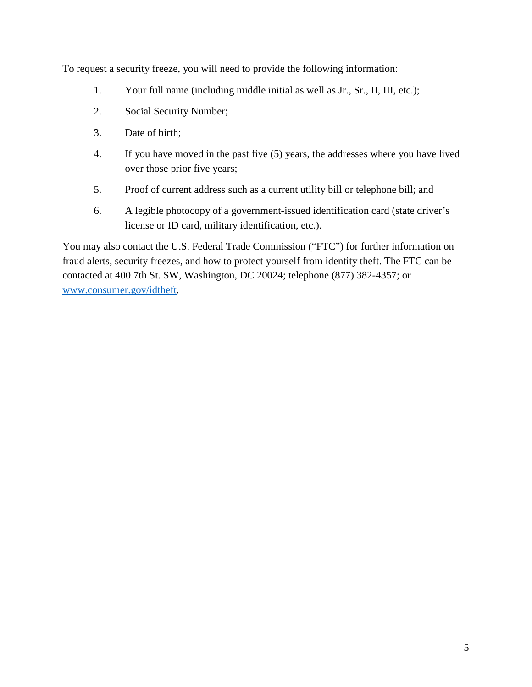To request a security freeze, you will need to provide the following information:

- 1. Your full name (including middle initial as well as Jr., Sr., II, III, etc.);
- 2. Social Security Number;
- 3. Date of birth;
- 4. If you have moved in the past five (5) years, the addresses where you have lived over those prior five years;
- 5. Proof of current address such as a current utility bill or telephone bill; and
- 6. A legible photocopy of a government-issued identification card (state driver's license or ID card, military identification, etc.).

You may also contact the U.S. Federal Trade Commission ("FTC") for further information on fraud alerts, security freezes, and how to protect yourself from identity theft. The FTC can be contacted at 400 7th St. SW, Washington, DC 20024; telephone (877) 382-4357; or [www.consumer.gov/idtheft.](http://www.consumer.gov/idtheft)